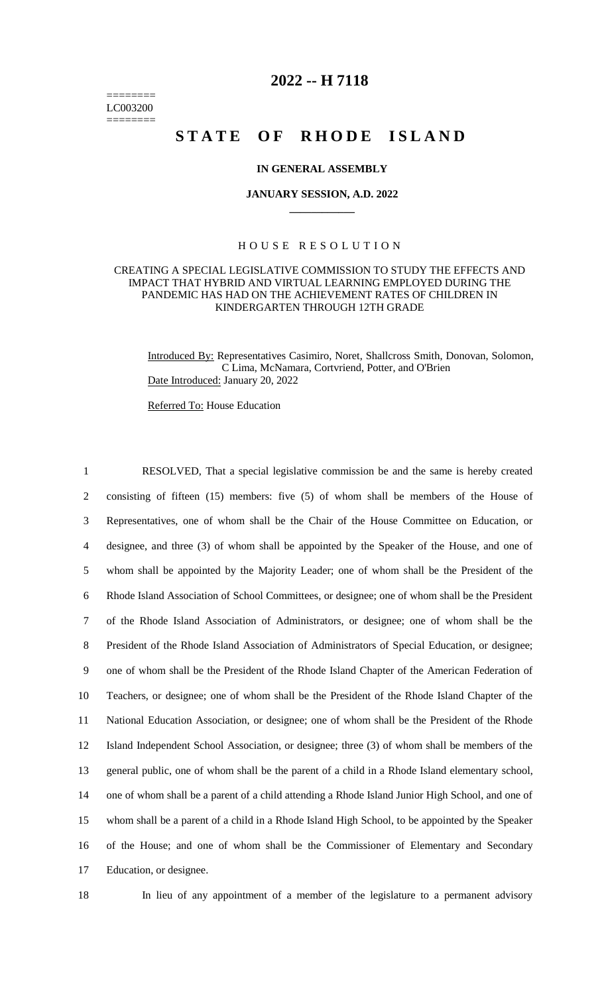======== LC003200 ========

# **2022 -- H 7118**

# **STATE OF RHODE ISLAND**

### **IN GENERAL ASSEMBLY**

#### **JANUARY SESSION, A.D. 2022 \_\_\_\_\_\_\_\_\_\_\_\_**

#### H O U S E R E S O L U T I O N

### CREATING A SPECIAL LEGISLATIVE COMMISSION TO STUDY THE EFFECTS AND IMPACT THAT HYBRID AND VIRTUAL LEARNING EMPLOYED DURING THE PANDEMIC HAS HAD ON THE ACHIEVEMENT RATES OF CHILDREN IN KINDERGARTEN THROUGH 12TH GRADE

Introduced By: Representatives Casimiro, Noret, Shallcross Smith, Donovan, Solomon, C Lima, McNamara, Cortvriend, Potter, and O'Brien Date Introduced: January 20, 2022

Referred To: House Education

 RESOLVED, That a special legislative commission be and the same is hereby created consisting of fifteen (15) members: five (5) of whom shall be members of the House of Representatives, one of whom shall be the Chair of the House Committee on Education, or designee, and three (3) of whom shall be appointed by the Speaker of the House, and one of whom shall be appointed by the Majority Leader; one of whom shall be the President of the Rhode Island Association of School Committees, or designee; one of whom shall be the President of the Rhode Island Association of Administrators, or designee; one of whom shall be the President of the Rhode Island Association of Administrators of Special Education, or designee; one of whom shall be the President of the Rhode Island Chapter of the American Federation of Teachers, or designee; one of whom shall be the President of the Rhode Island Chapter of the National Education Association, or designee; one of whom shall be the President of the Rhode Island Independent School Association, or designee; three (3) of whom shall be members of the general public, one of whom shall be the parent of a child in a Rhode Island elementary school, one of whom shall be a parent of a child attending a Rhode Island Junior High School, and one of whom shall be a parent of a child in a Rhode Island High School, to be appointed by the Speaker of the House; and one of whom shall be the Commissioner of Elementary and Secondary Education, or designee.

18 In lieu of any appointment of a member of the legislature to a permanent advisory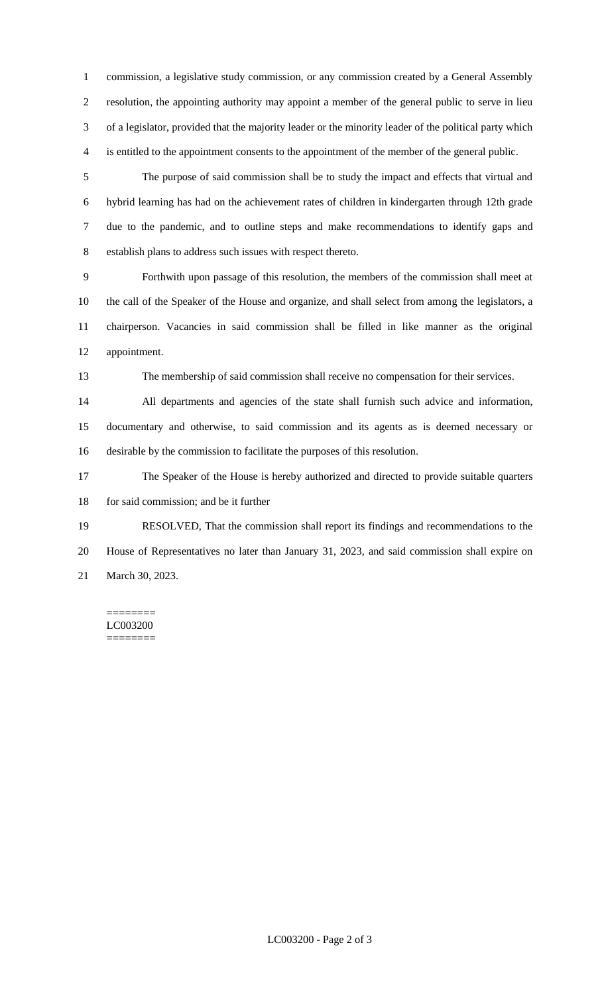commission, a legislative study commission, or any commission created by a General Assembly resolution, the appointing authority may appoint a member of the general public to serve in lieu of a legislator, provided that the majority leader or the minority leader of the political party which is entitled to the appointment consents to the appointment of the member of the general public.

 The purpose of said commission shall be to study the impact and effects that virtual and hybrid learning has had on the achievement rates of children in kindergarten through 12th grade due to the pandemic, and to outline steps and make recommendations to identify gaps and establish plans to address such issues with respect thereto.

 Forthwith upon passage of this resolution, the members of the commission shall meet at the call of the Speaker of the House and organize, and shall select from among the legislators, a chairperson. Vacancies in said commission shall be filled in like manner as the original appointment.

The membership of said commission shall receive no compensation for their services.

 All departments and agencies of the state shall furnish such advice and information, documentary and otherwise, to said commission and its agents as is deemed necessary or desirable by the commission to facilitate the purposes of this resolution.

 The Speaker of the House is hereby authorized and directed to provide suitable quarters 18 for said commission; and be it further

 RESOLVED, That the commission shall report its findings and recommendations to the House of Representatives no later than January 31, 2023, and said commission shall expire on March 30, 2023.

======== LC003200 ========